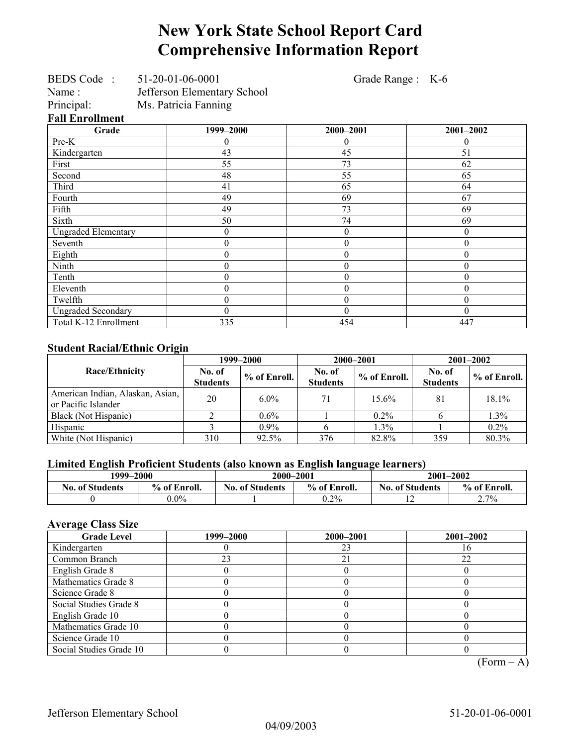# **New York State School Report Card Comprehensive Information Report**

Grade Range : K-6

| $C$ <sub>nodo</sub>    | 1000 2000                   |
|------------------------|-----------------------------|
| <b>Fall Enrollment</b> |                             |
| Principal:             | Ms. Patricia Fanning        |
| Name:                  | Jefferson Elementary School |
| <b>BEDS</b> Code       | 51-20-01-06-0001            |

**Grade 1999–2000 2000–2001 2001–2002**  Pre-K  $\begin{array}{ccccccccccccc}\n0 & 0 & 0 & 0 & 0\n\end{array}$ Kindergarten 13 43 45 51 First 55 73 62 Second 1 48 55 65 Third 41 65 64 Fourth 49 69 67 Fifth 19 49 73 73 69 Sixth 50 74 69 Ungraded Elementary and the contract of the contract of the contract of the contract of the contract of the contract of the contract of the contract of the contract of the contract of the contract of the contract of the co Seventh  $\begin{array}{ccccccc} 0 & 0 & 0 & 0 & 0 \\ \end{array}$ Eighth  $\begin{array}{cccc} \text{Eight} & 0 & 0 & 0 \\ \end{array}$ Ninth 0 0 0 Tenth  $\begin{array}{ccccccc} 0 & 0 & 0 & 0 & 0 \end{array}$ Eleventh  $\begin{array}{cccc} 0 & 0 & 0 \\ 0 & 0 & 0 \end{array}$  0 Twelfth  $\begin{array}{ccccccc} 0 & 0 & 0 & 0 & 0 \end{array}$ Ungraded Secondary 0 0 0 Total K-12 Enrollment 1 335 454 447

#### **Student Racial/Ethnic Origin**

|                                                         |                           | 1999–2000      | 2000-2001                 |              | $2001 - 2002$             |                |
|---------------------------------------------------------|---------------------------|----------------|---------------------------|--------------|---------------------------|----------------|
| Race/Ethnicity                                          | No. of<br><b>Students</b> | $%$ of Enroll. | No. of<br><b>Students</b> | % of Enroll. | No. of<br><b>Students</b> | $%$ of Enroll. |
| American Indian, Alaskan, Asian,<br>or Pacific Islander | 20                        | $6.0\%$        | 71                        | 15.6%        | 81                        | 18.1%          |
| Black (Not Hispanic)                                    |                           | $0.6\%$        |                           | $0.2\%$      |                           | 1.3%           |
| Hispanic                                                |                           | $0.9\%$        |                           | 1.3%         |                           | $0.2\%$        |
| White (Not Hispanic)                                    | 310                       | 92.5%          | 376                       | 82.8%        | 359                       | 80.3%          |

### **Limited English Proficient Students (also known as English language learners)**

| 1999–2000              |              | 2000-2001              |              | $2001 - 2002$                          |      |  |
|------------------------|--------------|------------------------|--------------|----------------------------------------|------|--|
| <b>No. of Students</b> | % of Enroll. | <b>No. of Students</b> | % of Enroll. | % of Enroll.<br><b>No. of Students</b> |      |  |
|                        | $0.0\%$      |                        | $0.2\%$      |                                        | 2.7% |  |

#### **Average Class Size**

| <b>Grade Level</b>      | 1999–2000 | 2000-2001 | $2001 - 2002$ |
|-------------------------|-----------|-----------|---------------|
| Kindergarten            |           | 23        |               |
| Common Branch           | 23        | 21        | 22            |
| English Grade 8         |           |           |               |
| Mathematics Grade 8     |           |           |               |
| Science Grade 8         |           |           |               |
| Social Studies Grade 8  |           |           |               |
| English Grade 10        |           |           |               |
| Mathematics Grade 10    |           |           |               |
| Science Grade 10        |           |           |               |
| Social Studies Grade 10 |           |           |               |

 $(Form – A)$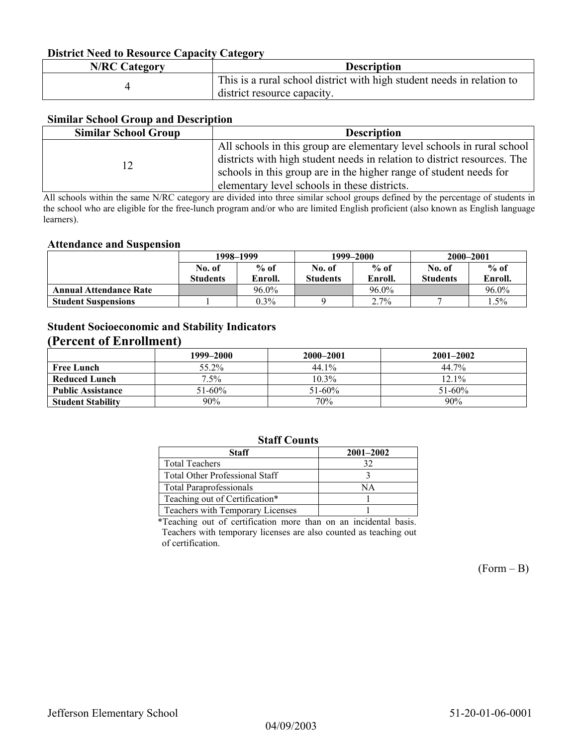#### **District Need to Resource Capacity Category**

| <b>N/RC Category</b> | <b>Description</b>                                                     |
|----------------------|------------------------------------------------------------------------|
|                      | This is a rural school district with high student needs in relation to |
|                      | district resource capacity.                                            |

#### **Similar School Group and Description**

| <b>Similar School Group</b> | <b>Description</b>                                                       |
|-----------------------------|--------------------------------------------------------------------------|
|                             | All schools in this group are elementary level schools in rural school   |
|                             | districts with high student needs in relation to district resources. The |
|                             | schools in this group are in the higher range of student needs for       |
|                             | elementary level schools in these districts.                             |

All schools within the same N/RC category are divided into three similar school groups defined by the percentage of students in the school who are eligible for the free-lunch program and/or who are limited English proficient (also known as English language learners).

#### **Attendance and Suspension**

|                               | 1998–1999       |         | 1999–2000       |         | 2000-2001       |         |
|-------------------------------|-----------------|---------|-----------------|---------|-----------------|---------|
|                               | No. of          | $%$ of  | No. of          | $%$ of  | No. of          | $%$ of  |
|                               | <b>Students</b> | Enroll. | <b>Students</b> | Enroll. | <b>Students</b> | Enroll. |
| <b>Annual Attendance Rate</b> |                 | 96.0%   |                 | 96.0%   |                 | 96.0%   |
| <b>Student Suspensions</b>    |                 | $0.3\%$ |                 | 2.7%    |                 | . . 5%  |

### **Student Socioeconomic and Stability Indicators (Percent of Enrollment)**

|                          | 1999–2000   | 2000-2001   | $2001 - 2002$ |
|--------------------------|-------------|-------------|---------------|
| <b>Free Lunch</b>        | 55.2%       | 44.1%       | 44.7%         |
| Reduced Lunch            | $1.5\%$     | $10.3\%$    | $12.1\%$      |
| <b>Public Assistance</b> | $51 - 60\%$ | $51 - 60\%$ | $51 - 60\%$   |
| <b>Student Stability</b> | 90%         | 70%         | 90%           |

### **Staff Counts**

| Staff                                 | $2001 - 2002$ |
|---------------------------------------|---------------|
| <b>Total Teachers</b>                 | 32            |
| <b>Total Other Professional Staff</b> |               |
| <b>Total Paraprofessionals</b>        | NΑ            |
| Teaching out of Certification*        |               |
| Teachers with Temporary Licenses      |               |

\*Teaching out of certification more than on an incidental basis. Teachers with temporary licenses are also counted as teaching out of certification.

 $(Form - B)$